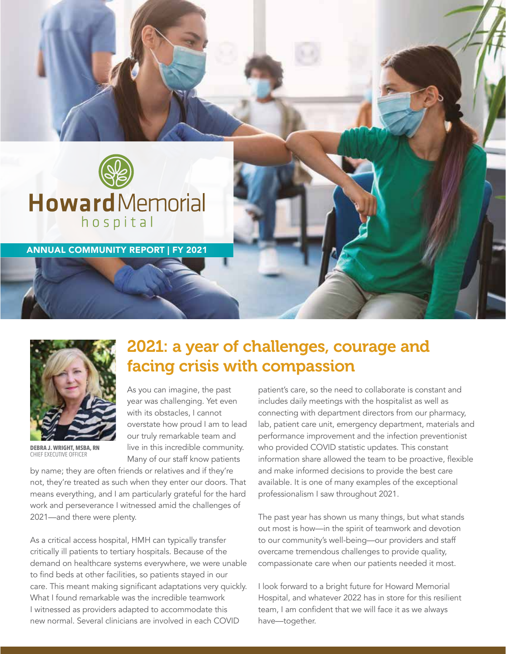



**DEBRA J. WRIGHT, MSBA, RN** CHIEF EXECUTIVE OFFICER

## 2021: a year of challenges, courage and facing crisis with compassion

As you can imagine, the past year was challenging. Yet even with its obstacles, I cannot overstate how proud I am to lead our truly remarkable team and live in this incredible community. Many of our staff know patients

by name; they are often friends or relatives and if they're not, they're treated as such when they enter our doors. That means everything, and I am particularly grateful for the hard work and perseverance I witnessed amid the challenges of 2021—and there were plenty.

As a critical access hospital, HMH can typically transfer critically ill patients to tertiary hospitals. Because of the demand on healthcare systems everywhere, we were unable to find beds at other facilities, so patients stayed in our care. This meant making significant adaptations very quickly. What I found remarkable was the incredible teamwork I witnessed as providers adapted to accommodate this new normal. Several clinicians are involved in each COVID

patient's care, so the need to collaborate is constant and includes daily meetings with the hospitalist as well as connecting with department directors from our pharmacy, lab, patient care unit, emergency department, materials and performance improvement and the infection preventionist who provided COVID statistic updates. This constant information share allowed the team to be proactive, flexible and make informed decisions to provide the best care available. It is one of many examples of the exceptional professionalism I saw throughout 2021.

The past year has shown us many things, but what stands out most is how—in the spirit of teamwork and devotion to our community's well-being—our providers and staff overcame tremendous challenges to provide quality, compassionate care when our patients needed it most.

I look forward to a bright future for Howard Memorial Hospital, and whatever 2022 has in store for this resilient team, I am confident that we will face it as we always have—together.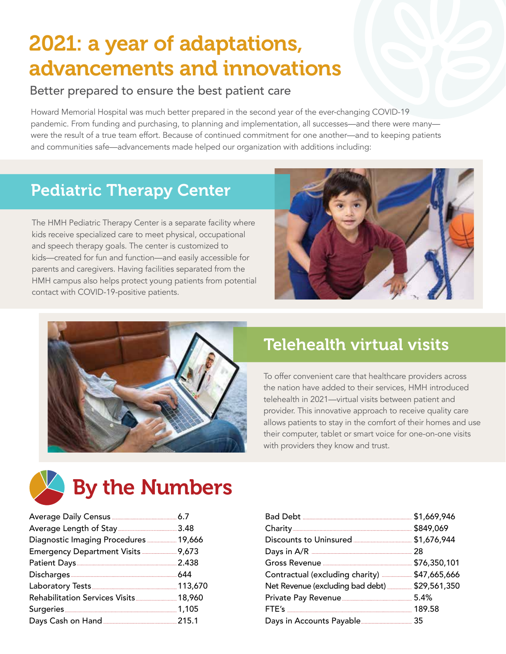# 2021: a year of adaptations, advancements and innovations

#### Better prepared to ensure the best patient care

Howard Memorial Hospital was much better prepared in the second year of the ever-changing COVID-19 pandemic. From funding and purchasing, to planning and implementation, all successes—and there were many were the result of a true team effort. Because of continued commitment for one another—and to keeping patients and communities safe—advancements made helped our organization with additions including:

## Pediatric Therapy Center

The HMH Pediatric Therapy Center is a separate facility where kids receive specialized care to meet physical, occupational and speech therapy goals. The center is customized to kids—created for fun and function—and easily accessible for parents and caregivers. Having facilities separated from the HMH campus also helps protect young patients from potential contact with COVID-19-positive patients.





### Telehealth virtual visits

To offer convenient care that healthcare providers across the nation have added to their services, HMH introduced telehealth in 2021—virtual visits between patient and provider. This innovative approach to receive quality care allows patients to stay in the comfort of their homes and use their computer, tablet or smart voice for one-on-one visits with providers they know and trust.

# **Extra Sy the Numbers**

| Diagnostic Imaging Procedures 19,666  |  |
|---------------------------------------|--|
|                                       |  |
|                                       |  |
|                                       |  |
|                                       |  |
|                                       |  |
| Rehabilitation Services Visits 18,960 |  |
|                                       |  |

| Contractual (excluding charity)  \$47,665,666  |        |
|------------------------------------------------|--------|
| Net Revenue (excluding bad debt)  \$29,561,350 |        |
|                                                |        |
|                                                | 189.58 |
|                                                |        |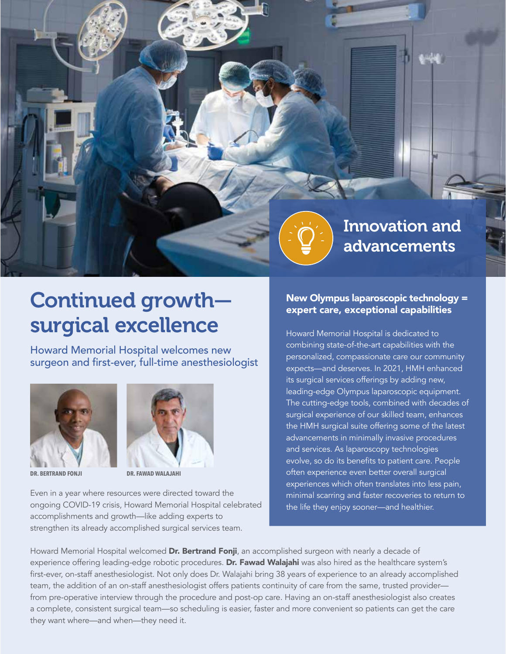

## Continued growth surgical excellence

Howard Memorial Hospital welcomes new surgeon and first-ever, full-time anesthesiologist



**DR. BERTRAND FONJI DR. FAWAD WALAJAHI**



Even in a year where resources were directed toward the ongoing COVID-19 crisis, Howard Memorial Hospital celebrated accomplishments and growth—like adding experts to strengthen its already accomplished surgical services team.

#### New Olympus laparoscopic technology = expert care, exceptional capabilities

Howard Memorial Hospital is dedicated to combining state-of-the-art capabilities with the personalized, compassionate care our community expects—and deserves. In 2021, HMH enhanced its surgical services offerings by adding new, leading-edge Olympus laparoscopic equipment. The cutting-edge tools, combined with decades of surgical experience of our skilled team, enhances the HMH surgical suite offering some of the latest advancements in minimally invasive procedures and services. As laparoscopy technologies evolve, so do its benefits to patient care. People often experience even better overall surgical experiences which often translates into less pain, minimal scarring and faster recoveries to return to the life they enjoy sooner—and healthier.

Howard Memorial Hospital welcomed Dr. Bertrand Fonji, an accomplished surgeon with nearly a decade of experience offering leading-edge robotic procedures. Dr. Fawad Walajahi was also hired as the healthcare system's first-ever, on-staff anesthesiologist. Not only does Dr. Walajahi bring 38 years of experience to an already accomplished team, the addition of an on-staff anesthesiologist offers patients continuity of care from the same, trusted provider from pre-operative interview through the procedure and post-op care. Having an on-staff anesthesiologist also creates a complete, consistent surgical team—so scheduling is easier, faster and more convenient so patients can get the care they want where—and when—they need it.